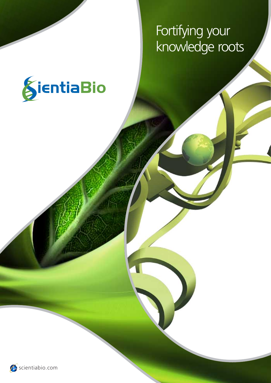## Fortifying your knowledge roots



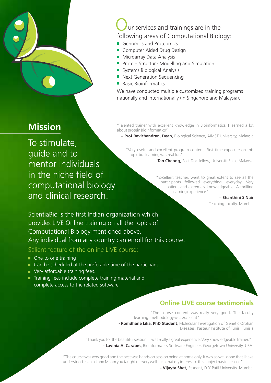## ur services and trainings are in the following areas of Computational Biology:

- Genomics and Proteomics
- Computer Aided Drug Design
- Microarray Data Analysis
- Protein Structure Modelling and Simulation
- Systems Biological Analysis
- Next Generation Sequencing
- **Basic Bioinformatics**

We have conducted multiple customized training programs nationally and internationally (in Singapore and Malaysia).

To stimulate, guide and to mentor individuals in the niche field of computational biology and clinical research.

**Mission** "Talented trainer with excellent knowledge in Bioinformatics. I learned a lot about protein Bioinformatics"

**– Prof Ravichandran, Dean**, Biological Science, AIMST University, Malaysia

"Very useful and excellent program content. First time exposure on this topic but learning was real fun"

**– Tan Cheong**, Post Doc fellow, Universiti Sains Malaysia

"Excellent teacher, went to great extent to see all the participants followed everything, everyday. Very patient and extremely knowledgeable. A thrilling learning experience"

**– Shanthini S Nair**

Teaching faculty, Mumbai

ScientiaBio is the first Indian organization which provides LIVE Online training on all the topics of Computational Biology mentioned above. Any individual from any country can enroll for this course. Salient feature of the online LIVE course:

- One to one training
- Can be scheduled at the preferable time of the participant.
- **very affordable training fees.**
- Training fees include complete training material and complete access to the related software

## **Online LIVE course testimonials**

"The course content was really very good. The faculty learning methodology was excellent"

**- Romdhane Lilia, PhD Student**, Molecular Investigation of Genetic Orphan Diseases, Pasteur Institute of Tunis, Tunisia

"Thank you for the beautiful session. It was really a great experience. Very knowledgeable trainer." **- Lavinia A. Carabet**, Bioinformatics Software Engineer, Georgetown University, USA.

"The course was very good and the best was hands on session being at home only. It was so well done that I have understood each bit and Maam you taught me very well such that my interest to this subject has increased"

**- Vijayta Shet**, Student, D Y Patil University, Mumbai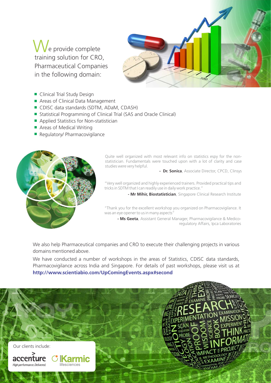e provide complete training solution for CRO, Pharmaceutical Companies in the following domain: W



- Clinical Trial Study Design
- Areas of Clinical Data Management
- CDISC data standards (SDTM, ADaM, CDASH)
- Statistical Programming of Clinical Trial (SAS and Oracle Clinical)
- Applied Statistics for Non-statistician
- Areas of Medical Writing
- **Regulatory/ Pharmacovigilance**



Quite well organized with most relevant info on statistics espy for the nonstatistician. Fundamentals were touched upon with a lot of clarity and case studies were very helpful.

**- Dr. Sonica**, Associate Director, CPCD, Clinsys

"Very well organized and highly experienced trainers. Provided practical tips and tricks in SDTM that I can readily use in daily work practice."

**- Mr Mihir, Biostatistician**, Singapore Clinical Research Institute

"Thank you for the excellent workshop you organized on Pharmacovigilance. It was an eye opener to us in many aspects"

**- Ms Geeta**, Assistant General Manager, Pharmacovigilance & Medicoregulatory Affairs, Ipca Laboratories

We also help Pharmaceutical companies and CRO to execute their challenging projects in various domains mentioned above.

We have conducted a number of workshops in the areas of Statistics, CDISC data standards, Pharmacovigilance across India and Singapore. For details of past workshops, please visit us at **http://www.scientiabio.com/UpComingEvents.aspx#second**